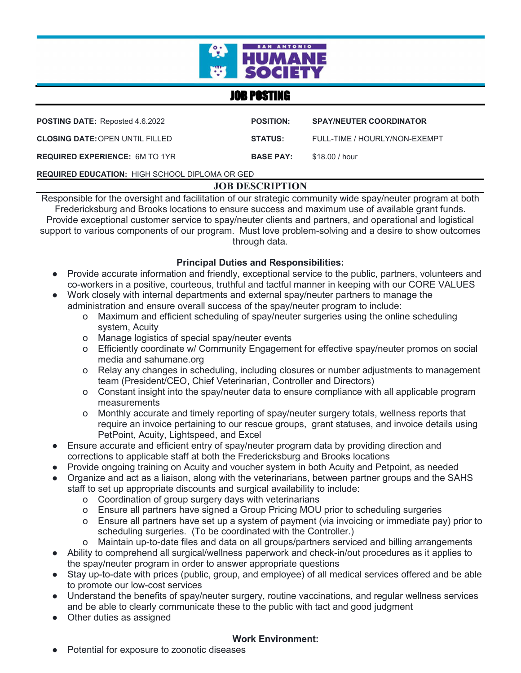

# JOB POSTING

| <b>POSTING DATE:</b> Reposted 4.6.2022                | <b>POSITION:</b> | <b>SPAY/NEUTER COORDINATOR</b> |
|-------------------------------------------------------|------------------|--------------------------------|
| <b>CLOSING DATE: OPEN UNTIL FILLED</b>                | <b>STATUS:</b>   | FULL-TIME / HOURLY/NON-EXEMPT  |
| <b>REQUIRED EXPERIENCE: 6M TO 1YR</b>                 | <b>BASE PAY:</b> | \$18.00 / hour                 |
| <b>REQUIRED EDUCATION: HIGH SCHOOL DIPLOMA OR GED</b> |                  |                                |

# **JOB DESCRIPTION**

Responsible for the oversight and facilitation of our strategic community wide spay/neuter program at both Fredericksburg and Brooks locations to ensure success and maximum use of available grant funds. Provide exceptional customer service to spay/neuter clients and partners, and operational and logistical support to various components of our program. Must love problem-solving and a desire to show outcomes through data.

#### **Principal Duties and Responsibilities:**

- Provide accurate information and friendly, exceptional service to the public, partners, volunteers and co-workers in a positive, courteous, truthful and tactful manner in keeping with our CORE VALUES
- Work closely with internal departments and external spay/neuter partners to manage the administration and ensure overall success of the spay/neuter program to include:
	- o Maximum and efficient scheduling of spay/neuter surgeries using the online scheduling system, Acuity
	- o Manage logistics of special spay/neuter events
	- o Efficiently coordinate w/ Community Engagement for effective spay/neuter promos on social media and sahumane.org
	- o Relay any changes in scheduling, including closures or number adjustments to management team (President/CEO, Chief Veterinarian, Controller and Directors)
	- o Constant insight into the spay/neuter data to ensure compliance with all applicable program measurements
	- o Monthly accurate and timely reporting of spay/neuter surgery totals, wellness reports that require an invoice pertaining to our rescue groups, grant statuses, and invoice details using PetPoint, Acuity, Lightspeed, and Excel
- Ensure accurate and efficient entry of spay/neuter program data by providing direction and corrections to applicable staff at both the Fredericksburg and Brooks locations
- Provide ongoing training on Acuity and voucher system in both Acuity and Petpoint, as needed
- Organize and act as a liaison, along with the veterinarians, between partner groups and the SAHS staff to set up appropriate discounts and surgical availability to include:
	- o Coordination of group surgery days with veterinarians
	- o Ensure all partners have signed a Group Pricing MOU prior to scheduling surgeries
	- o Ensure all partners have set up a system of payment (via invoicing or immediate pay) prior to scheduling surgeries. (To be coordinated with the Controller.)
	- o Maintain up-to-date files and data on all groups/partners serviced and billing arrangements
- Ability to comprehend all surgical/wellness paperwork and check-in/out procedures as it applies to the spay/neuter program in order to answer appropriate questions
- Stay up-to-date with prices (public, group, and employee) of all medical services offered and be able to promote our low-cost services
- Understand the benefits of spay/neuter surgery, routine vaccinations, and regular wellness services and be able to clearly communicate these to the public with tact and good judgment
- Other duties as assigned

#### **Work Environment:**

Potential for exposure to zoonotic diseases